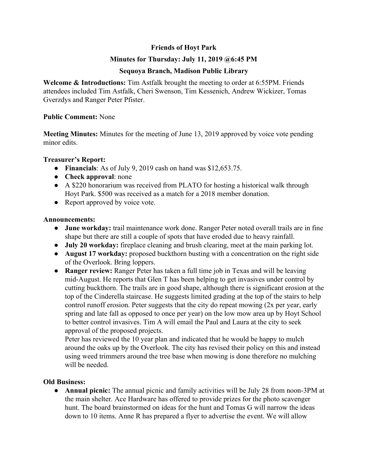# **Friends of Hoyt Park**

## **Minutes for Thursday: July 11, 2019 @6:45 PM**

## **Sequoya Branch, Madison Public Library**

**Welcome & Introductions:** Tim Astfalk brought the meeting to order at 6:55PM. Friends attendees included Tim Astfalk, Cheri Swenson, Tim Kessenich, Andrew Wickizer, Tomas Gverzdys and Ranger Peter Pfister.

## **Public Comment:** None

**Meeting Minutes:** Minutes for the meeting of June 13, 2019 approved by voice vote pending minor edits.

#### **Treasurer's Report:**

- **Financials**: As of July 9, 2019 cash on hand was \$12,653.75.
- **Check approval**: none
- A \$220 honorarium was received from PLATO for hosting a historical walk through Hoyt Park. \$500 was received as a match for a 2018 member donation.
- Report approved by voice vote.

#### **Announcements:**

- **● June workday:** trail maintenance work done. Ranger Peter noted overall trails are in fine shape but there are still a couple of spots that have eroded due to heavy rainfall.
- **● July 20 workday:** fireplace cleaning and brush clearing, meet at the main parking lot.
- **● August 17 workday:** proposed buckthorn busting with a concentration on the right side of the Overlook. Bring loppers.
- **● Ranger review:** Ranger Peter has taken a full time job in Texas and will be leaving mid-August. He reports that Glen T has been helping to get invasives under control by cutting buckthorn. The trails are in good shape, although there is significant erosion at the top of the Cinderella staircase. He suggests limited grading at the top of the stairs to help control runoff erosion. Peter suggests that the city do repeat mowing (2x per year, early spring and late fall as opposed to once per year) on the low mow area up by Hoyt School to better control invasives. Tim A will email the Paul and Laura at the city to seek approval of the proposed projects.

Peter has reviewed the 10 year plan and indicated that he would be happy to mulch around the oaks up by the Overlook. The city has revised their policy on this and instead using weed trimmers around the tree base when mowing is done therefore no mulching will be needed

## **Old Business:**

**● Annual picnic:** The annual picnic and family activities will be July 28 from noon-3PM at the main shelter. Ace Hardware has offered to provide prizes for the photo scavenger hunt. The board brainstormed on ideas for the hunt and Tomas G will narrow the ideas down to 10 items. Anne R has prepared a flyer to advertise the event. We will allow